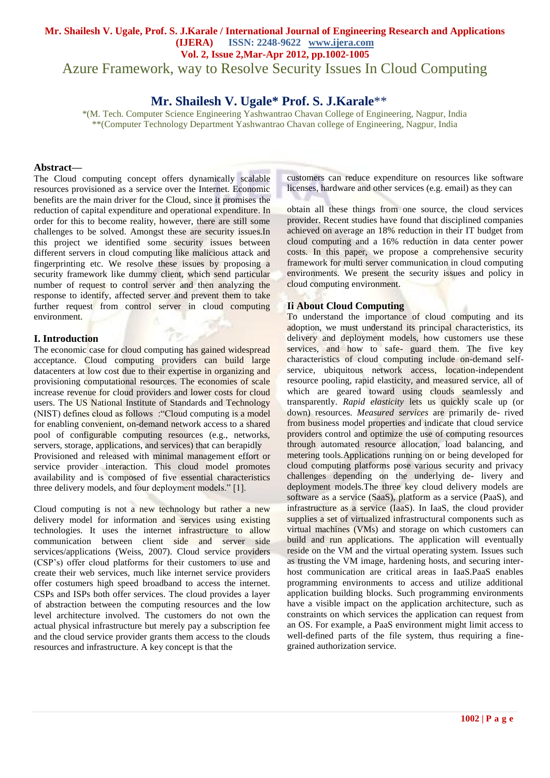Azure Framework, way to Resolve Security Issues In Cloud Computing

# **Mr. Shailesh V. Ugale\* Prof. S. J.Karale**\*\*

\*(M. Tech. Computer Science Engineering Yashwantrao Chavan College of Engineering, Nagpur, India \*\*(Computer Technology Department Yashwantrao Chavan college of Engineering, Nagpur, India

#### **Abstract—**

The Cloud computing concept offers dynamically scalable resources provisioned as a service over the Internet. Economic benefits are the main driver for the Cloud, since it promises the reduction of capital expenditure and operational expenditure. In order for this to become reality, however, there are still some challenges to be solved. Amongst these are security issues.In this project we identified some security issues between different servers in cloud computing like malicious attack and fingerprinting etc. We resolve these issues by proposing a security framework like dummy client, which send particular number of request to control server and then analyzing the response to identify, affected server and prevent them to take further request from control server in cloud computing environment.

## **I. Introduction**

The economic case for cloud computing has gained widespread acceptance. Cloud computing providers can build large datacenters at low cost due to their expertise in organizing and provisioning computational resources. The economies of scale increase revenue for cloud providers and lower costs for cloud users. The US National Institute of Standards and Technology (NIST) defines cloud as follows :"Cloud computing is a model for enabling convenient, on-demand network access to a shared pool of configurable computing resources (e.g., networks, servers, storage, applications, and services) that can berapidly Provisioned and released with minimal management effort or service provider interaction. This cloud model promotes availability and is composed of five essential characteristics three delivery models, and four deployment models." [1].

Cloud computing is not a new technology but rather a new delivery model for information and services using existing technologies. It uses the internet infrastructure to allow communication between client side and server side services/applications (Weiss, 2007). Cloud service providers (CSP's) offer cloud platforms for their customers to use and create their web services, much like internet service providers offer costumers high speed broadband to access the internet. CSPs and ISPs both offer services. The cloud provides a layer of abstraction between the computing resources and the low level architecture involved. The customers do not own the actual physical infrastructure but merely pay a subscription fee and the cloud service provider grants them access to the clouds resources and infrastructure. A key concept is that the

customers can reduce expenditure on resources like software licenses, hardware and other services (e.g. email) as they can

obtain all these things from one source, the cloud services provider. Recent studies have found that disciplined companies achieved on average an 18% reduction in their IT budget from cloud computing and a 16% reduction in data center power costs. In this paper, we propose a comprehensive security framework for multi server communication in cloud computing environments. We present the security issues and policy in cloud computing environment.

## **Ii About Cloud Computing**

To understand the importance of cloud computing and its adoption, we must understand its principal characteristics, its delivery and deployment models, how customers use these services, and how to safe- guard them. The five key characteristics of cloud computing include on-demand selfservice, ubiquitous network access, location-independent resource pooling, rapid elasticity, and measured service, all of which are geared toward using clouds seamlessly and transparently. *Rapid elasticity* lets us quickly scale up (or down) resources. *Measured services* are primarily de- rived from business model properties and indicate that cloud service providers control and optimize the use of computing resources through automated resource allocation, load balancing, and metering tools.Applications running on or being developed for cloud computing platforms pose various security and privacy challenges depending on the underlying de- livery and deployment models.The three key cloud delivery models are software as a service (SaaS), platform as a service (PaaS), and infrastructure as a service (IaaS). In IaaS, the cloud provider supplies a set of virtualized infrastructural components such as virtual machines (VMs) and storage on which customers can build and run applications. The application will eventually reside on the VM and the virtual operating system. Issues such as trusting the VM image, hardening hosts, and securing interhost communication are critical areas in IaaS.PaaS enables programming environments to access and utilize additional application building blocks. Such programming environments have a visible impact on the application architecture, such as constraints on which services the application can request from an OS. For example, a PaaS environment might limit access to well-defined parts of the file system, thus requiring a finegrained authorization service.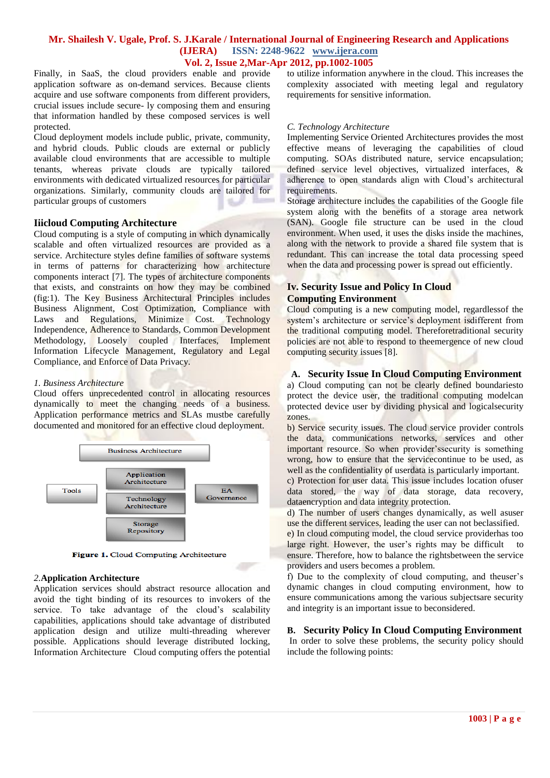Finally, in SaaS, the cloud providers enable and provide application software as on-demand services. Because clients acquire and use software components from different providers, crucial issues include secure- ly composing them and ensuring that information handled by these composed services is well protected.

Cloud deployment models include public, private, community, and hybrid clouds. Public clouds are external or publicly available cloud environments that are accessible to multiple tenants, whereas private clouds are typically tailored environments with dedicated virtualized resources for particular organizations. Similarly, community clouds are tailored for particular groups of customers

#### **Iiicloud Computing Architecture**

Cloud computing is a style of computing in which dynamically scalable and often virtualized resources are provided as a service. Architecture styles define families of software systems in terms of patterns for characterizing how architecture components interact [7]. The types of architecture components that exists, and constraints on how they may be combined (fig:1). The Key Business Architectural Principles includes Business Alignment, Cost Optimization, Compliance with Laws and Regulations, Minimize Cost. Technology Independence, Adherence to Standards, Common Development Methodology, Loosely coupled Interfaces, Implement Information Lifecycle Management, Regulatory and Legal Compliance, and Enforce of Data Privacy.

#### *1. Business Architecture*

Cloud offers unprecedented control in allocating resources dynamically to meet the changing needs of a business. Application performance metrics and SLAs mustbe carefully documented and monitored for an effective cloud deployment.



Figure 1. Cloud Computing Architecture

#### *2.***Application Architecture**

Application services should abstract resource allocation and avoid the tight binding of its resources to invokers of the service. To take advantage of the cloud's scalability capabilities, applications should take advantage of distributed application design and utilize multi-threading wherever possible. Applications should leverage distributed locking, Information Architecture Cloud computing offers the potential to utilize information anywhere in the cloud. This increases the complexity associated with meeting legal and regulatory requirements for sensitive information.

#### *C. Technology Architecture*

Implementing Service Oriented Architectures provides the most effective means of leveraging the capabilities of cloud computing. SOAs distributed nature, service encapsulation; defined service level objectives, virtualized interfaces, & adherence to open standards align with Cloud's architectural requirements.

Storage architecture includes the capabilities of the Google file system along with the benefits of a storage area network (SAN). Google file structure can be used in the cloud environment. When used, it uses the disks inside the machines, along with the network to provide a shared file system that is redundant. This can increase the total data processing speed when the data and processing power is spread out efficiently.

## **Iv. Security Issue and Policy In Cloud Computing Environment**

Cloud computing is a new computing model, regardlessof the system's architecture or service's deployment isdifferent from the traditional computing model. Thereforetraditional security policies are not able to respond to theemergence of new cloud computing security issues [8].

## **A. Security Issue In Cloud Computing Environment**

a) Cloud computing can not be clearly defined boundariesto protect the device user, the traditional computing modelcan protected device user by dividing physical and logicalsecurity zones.

b) Service security issues. The cloud service provider controls the data, communications networks, services and other important resource. So when provider'ssecurity is something wrong, how to ensure that the servicecontinue to be used, as well as the confidentiality of userdata is particularly important.

c) Protection for user data. This issue includes location ofuser data stored, the way of data storage, data recovery, dataencryption and data integrity protection.

d) The number of users changes dynamically, as well asuser use the different services, leading the user can not beclassified.

e) In cloud computing model, the cloud service providerhas too large right. However, the user's rights may be difficult to ensure. Therefore, how to balance the rightsbetween the service providers and users becomes a problem.

f) Due to the complexity of cloud computing, and theuser's dynamic changes in cloud computing environment, how to ensure communications among the various subjectsare security and integrity is an important issue to beconsidered.

**B. Security Policy In Cloud Computing Environment** In order to solve these problems, the security policy should include the following points: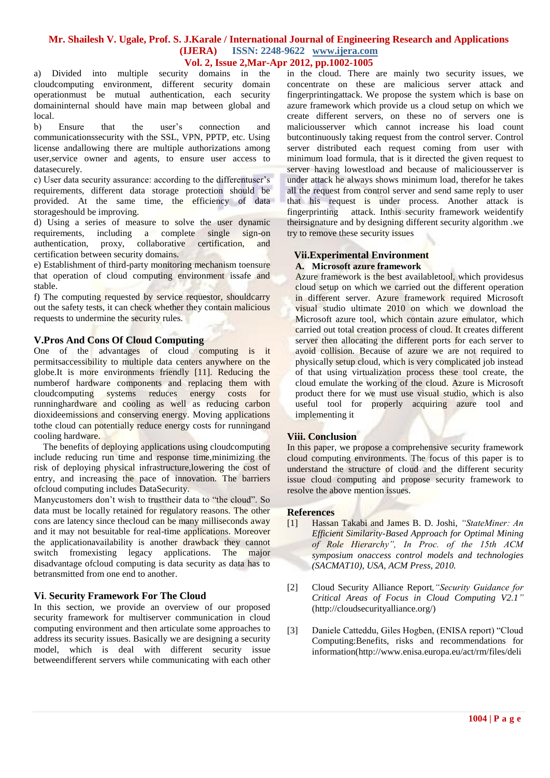a) Divided into multiple security domains in the cloudcomputing environment, different security domain operationmust be mutual authentication, each security domaininternal should have main map between global and local.

b) Ensure that the user's connection and communicationssecurity with the SSL, VPN, PPTP, etc. Using license andallowing there are multiple authorizations among user,service owner and agents, to ensure user access to datasecurely.

c) User data security assurance: according to the differentuser's requirements, different data storage protection should be provided. At the same time, the efficiency of data storageshould be improving.

d) Using a series of measure to solve the user dynamic requirements, including a complete single sign-on authentication, proxy, collaborative certification, and certification between security domains.

e) Establishment of third-party monitoring mechanism toensure that operation of cloud computing environment issafe and stable.

f) The computing requested by service requestor, shouldcarry out the safety tests, it can check whether they contain malicious requests to undermine the security rules.

## **V.Pros And Cons Of Cloud Computing**

One of the advantages of cloud computing is it permitsaccessibility to multiple data centers anywhere on the globe.It is more environments friendly [11]. Reducing the numberof hardware components and replacing them with cloudcomputing systems reduces energy costs for runninghardware and cooling as well as reducing carbon dioxideemissions and conserving energy. Moving applications tothe cloud can potentially reduce energy costs for runningand cooling hardware.

 The benefits of deploying applications using cloudcomputing include reducing run time and response time,minimizing the risk of deploying physical infrastructure,lowering the cost of entry, and increasing the pace of innovation. The barriers ofcloud computing includes DataSecurity.

Manycustomers don't wish to trusttheir data to "the cloud". So data must be locally retained for regulatory reasons. The other cons are latency since thecloud can be many milliseconds away and it may not besuitable for real-time applications. Moreover the applicationavailability is another drawback they cannot switch fromexisting legacy applications. The major disadvantage ofcloud computing is data security as data has to betransmitted from one end to another.

## **Vi**. **Security Framework For The Cloud**

In this section, we provide an overview of our proposed security framework for multiserver communication in cloud computing environment and then articulate some approaches to address its security issues. Basically we are designing a security model, which is deal with different security issue betweendifferent servers while communicating with each other in the cloud. There are mainly two security issues, we concentrate on these are malicious server attack and fingerprintingattack. We propose the system which is base on azure framework which provide us a cloud setup on which we create different servers, on these no of servers one is maliciousserver which cannot increase his load count butcontinuously taking request from the control server. Control server distributed each request coming from user with minimum load formula, that is it directed the given request to server having lowestload and because of maliciousserver is under attack he always shows minimum load, therefor he takes all the request from control server and send same reply to user that his request is under process. Another attack is fingerprinting attack. Inthis security framework weidentify theirsignature and by designing different security algorithm .we try to remove these security issues

## **Vii.Experimental Environment**

#### **A. Microsoft azure framework**

Azure framework is the best availabletool, which providesus cloud setup on which we carried out the different operation in different server. Azure framework required Microsoft visual studio ultimate 2010 on which we download the Microsoft azure tool, which contain azure emulator, which carried out total creation process of cloud. It creates different server then allocating the different ports for each server to avoid collision. Because of azure we are not required to physically setup cloud, which is very complicated job instead of that using virtualization process these tool create, the cloud emulate the working of the cloud. Azure is Microsoft product there for we must use visual studio, which is also useful tool for properly acquiring azure tool and implementing it

#### **Viii. Conclusion**

In this paper, we propose a comprehensive security framework cloud computing environments. The focus of this paper is to understand the structure of cloud and the different security issue cloud computing and propose security framework to resolve the above mention issues.

#### **References**

- [1] Hassan Takabi and James B. D. Joshi, *"StateMiner: An Efficient Similarity-Based Approach for Optimal Mining of Role Hierarchy", In Proc. of the 15th ACM symposium onaccess control models and technologies (SACMAT10), USA, ACM Press, 2010.*
- [2] Cloud Security Alliance Report*,"Security Guidance for Critical Areas of Focus in Cloud Computing V2.1"* (http://cloudsecurityalliance.org/)
- [3] Daniele Catteddu, Giles Hogben, (ENISA report) "Cloud Computing:Benefits, risks and recommendations for information(http://www.enisa.europa.eu/act/rm/files/deli